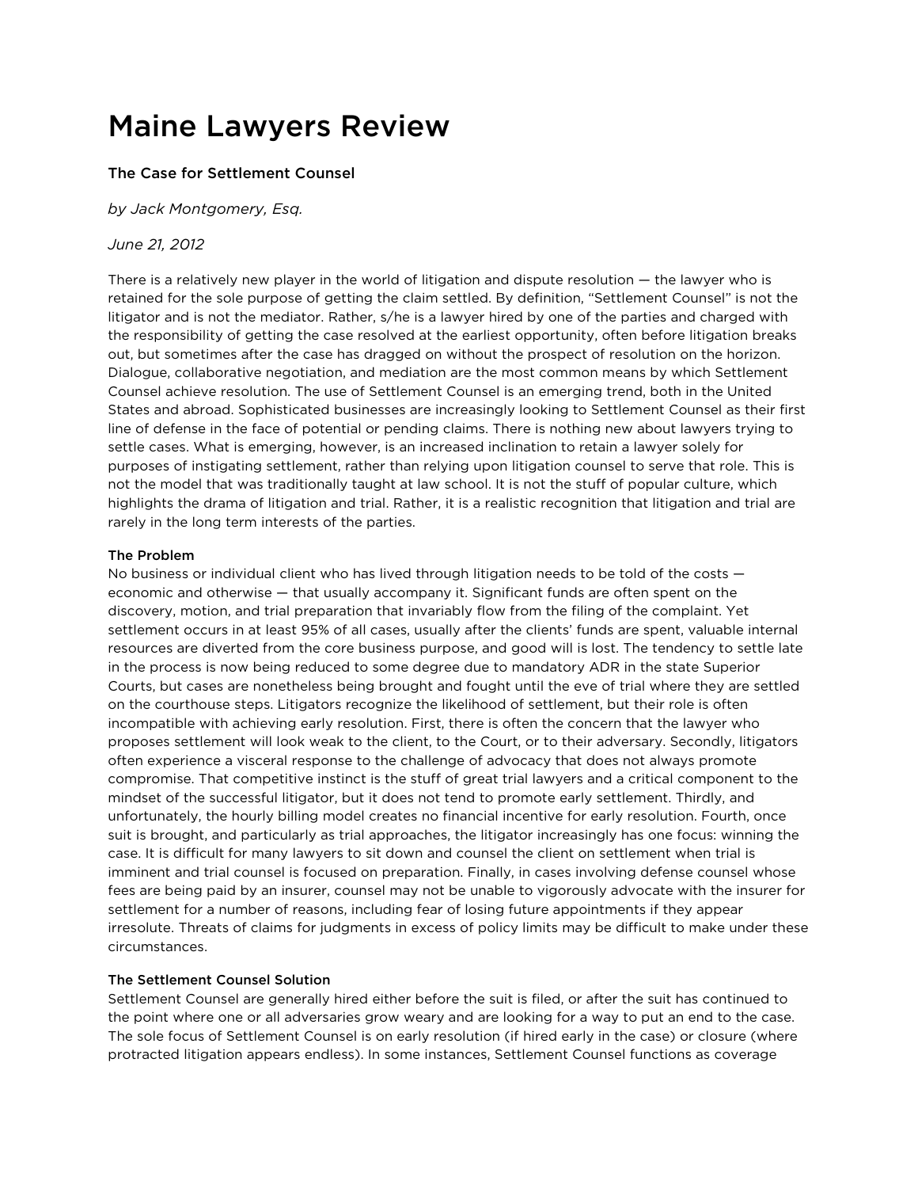# Maine Lawyers Review

## The Case for Settlement Counsel

*by [Jack Montgomery, Esq.](http://www.bernsteinshur.com/attorney/jack-h-montgomery/)* 

### *June 21, 2012*

There is a relatively new player in the world of litigation and dispute resolution — the lawyer who is retained for the sole purpose of getting the claim settled. By definition, "Settlement Counsel" is not the litigator and is not the mediator. Rather, s/he is a lawyer hired by one of the parties and charged with the responsibility of getting the case resolved at the earliest opportunity, often before litigation breaks out, but sometimes after the case has dragged on without the prospect of resolution on the horizon. Dialogue, collaborative negotiation, and mediation are the most common means by which Settlement Counsel achieve resolution. The use of Settlement Counsel is an emerging trend, both in the United States and abroad. Sophisticated businesses are increasingly looking to Settlement Counsel as their first line of defense in the face of potential or pending claims. There is nothing new about lawyers trying to settle cases. What is emerging, however, is an increased inclination to retain a lawyer solely for purposes of instigating settlement, rather than relying upon litigation counsel to serve that role. This is not the model that was traditionally taught at law school. It is not the stuff of popular culture, which highlights the drama of litigation and trial. Rather, it is a realistic recognition that litigation and trial are rarely in the long term interests of the parties.

#### The Problem

No business or individual client who has lived through litigation needs to be told of the costs economic and otherwise — that usually accompany it. Significant funds are often spent on the discovery, motion, and trial preparation that invariably flow from the filing of the complaint. Yet settlement occurs in at least 95% of all cases, usually after the clients' funds are spent, valuable internal resources are diverted from the core business purpose, and good will is lost. The tendency to settle late in the process is now being reduced to some degree due to mandatory ADR in the state Superior Courts, but cases are nonetheless being brought and fought until the eve of trial where they are settled on the courthouse steps. Litigators recognize the likelihood of settlement, but their role is often incompatible with achieving early resolution. First, there is often the concern that the lawyer who proposes settlement will look weak to the client, to the Court, or to their adversary. Secondly, litigators often experience a visceral response to the challenge of advocacy that does not always promote compromise. That competitive instinct is the stuff of great trial lawyers and a critical component to the mindset of the successful litigator, but it does not tend to promote early settlement. Thirdly, and unfortunately, the hourly billing model creates no financial incentive for early resolution. Fourth, once suit is brought, and particularly as trial approaches, the litigator increasingly has one focus: winning the case. It is difficult for many lawyers to sit down and counsel the client on settlement when trial is imminent and trial counsel is focused on preparation. Finally, in cases involving defense counsel whose fees are being paid by an insurer, counsel may not be unable to vigorously advocate with the insurer for settlement for a number of reasons, including fear of losing future appointments if they appear irresolute. Threats of claims for judgments in excess of policy limits may be difficult to make under these circumstances.

#### The Settlement Counsel Solution

Settlement Counsel are generally hired either before the suit is filed, or after the suit has continued to the point where one or all adversaries grow weary and are looking for a way to put an end to the case. The sole focus of Settlement Counsel is on early resolution (if hired early in the case) or closure (where protracted litigation appears endless). In some instances, Settlement Counsel functions as coverage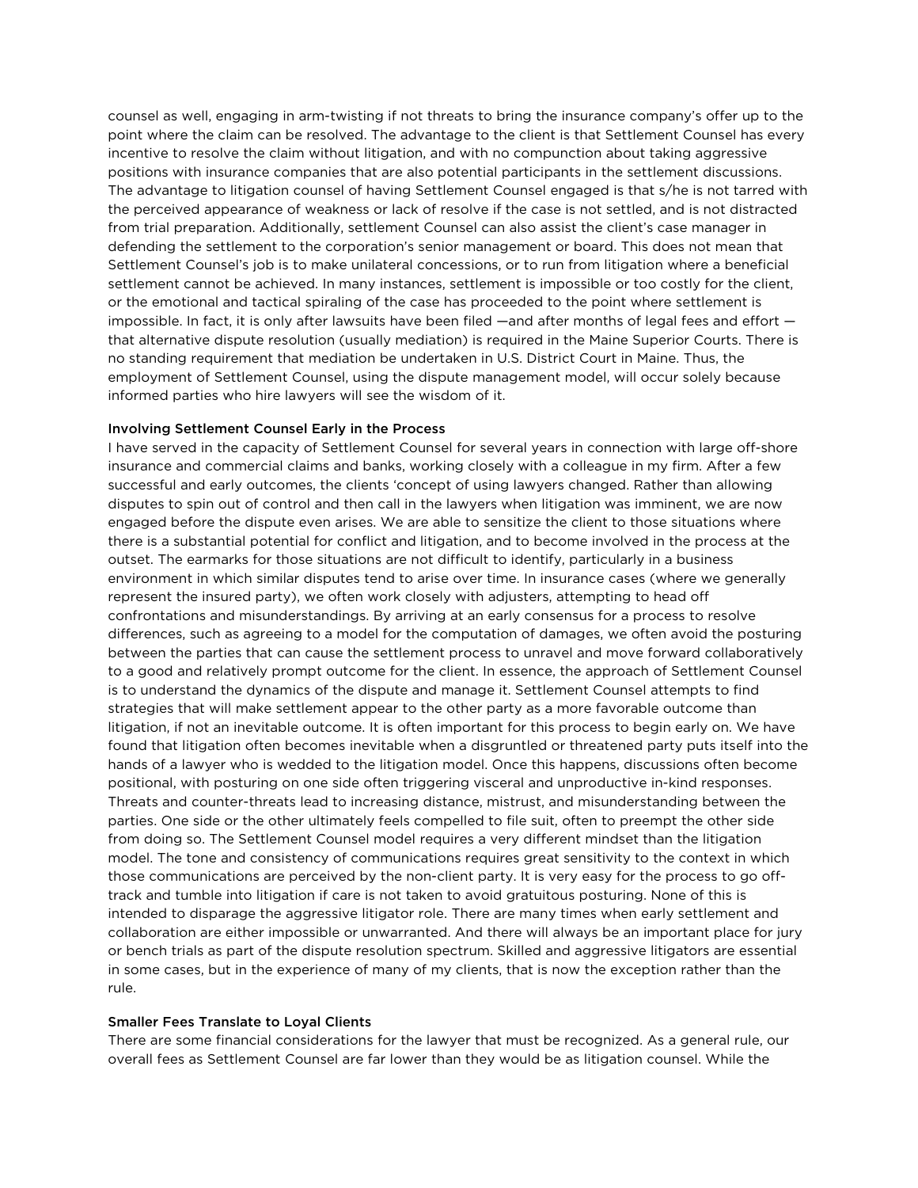counsel as well, engaging in arm-twisting if not threats to bring the insurance company's offer up to the point where the claim can be resolved. The advantage to the client is that Settlement Counsel has every incentive to resolve the claim without litigation, and with no compunction about taking aggressive positions with insurance companies that are also potential participants in the settlement discussions. The advantage to litigation counsel of having Settlement Counsel engaged is that s/he is not tarred with the perceived appearance of weakness or lack of resolve if the case is not settled, and is not distracted from trial preparation. Additionally, settlement Counsel can also assist the client's case manager in defending the settlement to the corporation's senior management or board. This does not mean that Settlement Counsel's job is to make unilateral concessions, or to run from litigation where a beneficial settlement cannot be achieved. In many instances, settlement is impossible or too costly for the client, or the emotional and tactical spiraling of the case has proceeded to the point where settlement is impossible. In fact, it is only after lawsuits have been filed —and after months of legal fees and effort that alternative dispute resolution (usually mediation) is required in the Maine Superior Courts. There is no standing requirement that mediation be undertaken in U.S. District Court in Maine. Thus, the employment of Settlement Counsel, using the dispute management model, will occur solely because informed parties who hire lawyers will see the wisdom of it.

#### Involving Settlement Counsel Early in the Process

I have served in the capacity of Settlement Counsel for several years in connection with large off-shore insurance and commercial claims and banks, working closely with a colleague in my firm. After a few successful and early outcomes, the clients 'concept of using lawyers changed. Rather than allowing disputes to spin out of control and then call in the lawyers when litigation was imminent, we are now engaged before the dispute even arises. We are able to sensitize the client to those situations where there is a substantial potential for conflict and litigation, and to become involved in the process at the outset. The earmarks for those situations are not difficult to identify, particularly in a business environment in which similar disputes tend to arise over time. In insurance cases (where we generally represent the insured party), we often work closely with adjusters, attempting to head off confrontations and misunderstandings. By arriving at an early consensus for a process to resolve differences, such as agreeing to a model for the computation of damages, we often avoid the posturing between the parties that can cause the settlement process to unravel and move forward collaboratively to a good and relatively prompt outcome for the client. In essence, the approach of Settlement Counsel is to understand the dynamics of the dispute and manage it. Settlement Counsel attempts to find strategies that will make settlement appear to the other party as a more favorable outcome than litigation, if not an inevitable outcome. It is often important for this process to begin early on. We have found that litigation often becomes inevitable when a disgruntled or threatened party puts itself into the hands of a lawyer who is wedded to the litigation model. Once this happens, discussions often become positional, with posturing on one side often triggering visceral and unproductive in-kind responses. Threats and counter-threats lead to increasing distance, mistrust, and misunderstanding between the parties. One side or the other ultimately feels compelled to file suit, often to preempt the other side from doing so. The Settlement Counsel model requires a very different mindset than the litigation model. The tone and consistency of communications requires great sensitivity to the context in which those communications are perceived by the non-client party. It is very easy for the process to go offtrack and tumble into litigation if care is not taken to avoid gratuitous posturing. None of this is intended to disparage the aggressive litigator role. There are many times when early settlement and collaboration are either impossible or unwarranted. And there will always be an important place for jury or bench trials as part of the dispute resolution spectrum. Skilled and aggressive litigators are essential in some cases, but in the experience of many of my clients, that is now the exception rather than the rule.

#### Smaller Fees Translate to Loyal Clients

There are some financial considerations for the lawyer that must be recognized. As a general rule, our overall fees as Settlement Counsel are far lower than they would be as litigation counsel. While the